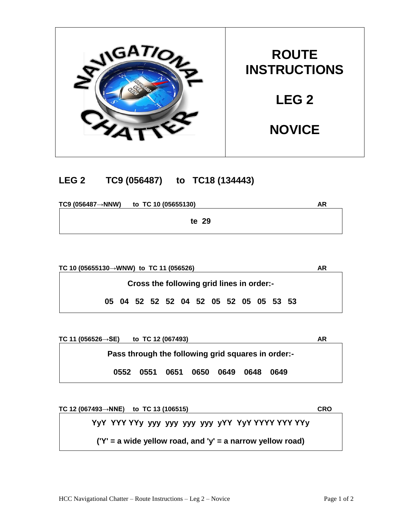

## **LEG 2 TC9 (056487) to TC18 (134443)**

**TC9 (056487→NNW) to TC 10 (05655130) AR te 29**

**TC 10 (05655130→WNW) to TC 11 (056526) AR Cross the following grid lines in order:- 05 04 52 52 52 04 52 05 52 05 05 53 53**

**TC 11 (056526→SE) to TC 12 (067493) AR Pass through the following grid squares in order:- 0552 0551 0651 0650 0649 0648 0649**

**TC 12 (067493→NNE) to TC 13 (106515) CRO YyY YYY YYy yyy yyy yyy yyy yYY YyY YYYY YYY YYy ('Y' = a wide yellow road, and 'y' = a narrow yellow road)**